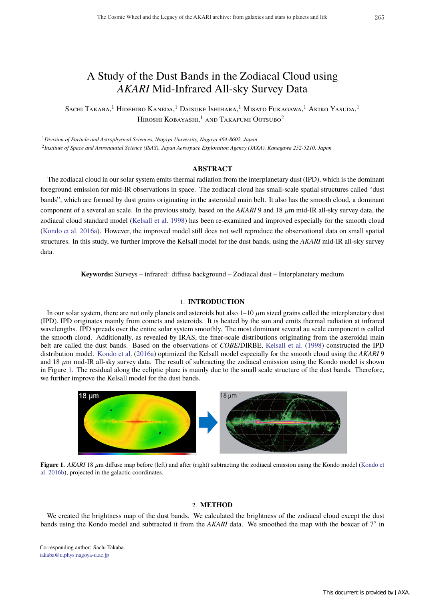# A Study of the Dust Bands in the Zodiacal Cloud using *AKARI* Mid-Infrared All-sky Survey Data

Sachi Takaba,<sup>1</sup> Hidehiro Kaneda,<sup>1</sup> Daisuke Ishihara,<sup>1</sup> Misato Fukagawa,<sup>1</sup> Akiko Yasuda,<sup>1</sup> HIROSHI KOBAYASHI,<sup>1</sup> and Takafumi Ootsubo<sup>2</sup>

<sup>1</sup>*Division of Particle and Astrophysical Sciences, Nagoya University, Nagoya 464-8602, Japan* <sup>2</sup>*Institute of Space and Astronautial Science (ISAS), Japan Aerospace Exploration Agency (JAXA), Kanagawa 252-5210, Japan*

## **ABSTRACT**

The zodiacal cloud in our solar system emits thermal radiation from the interplanetary dust (IPD), which is the dominant foreground emission for mid-IR observations in space. The zodiacal cloud has small-scale spatial structures called "dust bands", which are formed by dust grains originating in the asteroidal main belt. It also has the smooth cloud, a dominant component of a several au scale. In the previous study, based on the  $AKARI$  9 and 18  $\mu$ m mid-IR all-sky survey data, the zodiacal cloud standard model (Kelsall et al. 1998) has been re-examined and improved especially for the smooth cloud (Kondo et al. 2016a). However, the improved model still does not well reproduce the observational data on small spatial structures. In this study, we further improve the Kelsall model for the dust bands, using the *AKARI* mid-IR all-sky survey data.

**Keywords:** Surveys – infrared: diffuse background – Zodiacal dust – Interplanetary medium

#### 1. **INTRODUCTION**

In our solar system, there are not only planets and asteroids but also  $1-10 \ \mu m$  sized grains called the interplanetary dust (IPD). IPD originates mainly from comets and asteroids. It is heated by the sun and emits thermal radiation at infrared wavelengths. IPD spreads over the entire solar system smoothly. The most dominant several au scale component is called the smooth cloud. Additionally, as revealed by IRAS, the finer-scale distributions originating from the asteroidal main belt are called the dust bands. Based on the observations of *COBE*/DIRBE, Kelsall et al. (1998) constructed the IPD distribution model. Kondo et al. (2016a) optimized the Kelsall model especially for the smooth cloud using the *AKARI* 9 and 18  $\mu$ m mid-IR all-sky survey data. The result of subtracting the zodiacal emission using the Kondo model is shown in Figure 1. The residual along the ecliptic plane is mainly due to the small scale structure of the dust bands. Therefore, we further improve the Kelsall model for the dust bands.



**Figure 1.** *AKARI* 18  $\mu$ m diffuse map before (left) and after (right) subtracting the zodiacal emission using the Kondo model (Kondo et al. 2016b), projected in the galactic coordinates.

## 2. **METHOD**

We created the brightness map of the dust bands. We calculated the brightness of the zodiacal cloud except the dust bands using the Kondo model and subtracted it from the *AKARI* data. We smoothed the map with the boxcar of 7◦ in

Corresponding author: Sachi Takaba takaba@u.phys.nagoya-u.ac.jp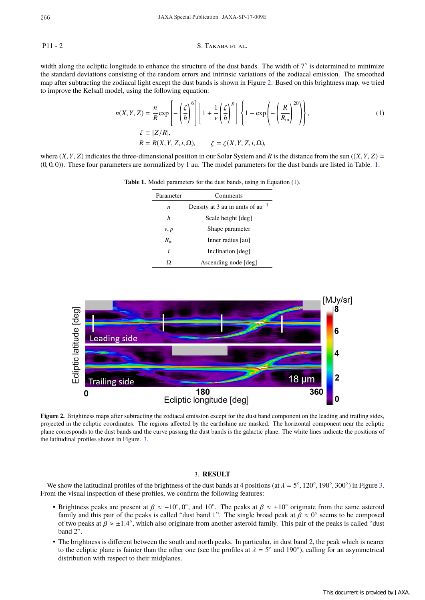#### P11 - 2 S. TAKABA ET AL.

width along the ecliptic longitude to enhance the structure of the dust bands. The width of 7° is determined to minimize the standard deviations consisting of the random errors and intrinsic variations of the zodiacal emission. The smoothed map after subtracting the zodiacal light except the dust bands is shown in Figure 2. Based on this brightness map, we tried to improve the Kelsall model, using the following equation:

$$
n(X, Y, Z) = \frac{n}{R} \exp\left[-\left(\frac{\zeta}{h}\right)^6\right] \left[1 + \frac{1}{\nu} \left(\frac{\zeta}{h}\right)^p\right] \left\{1 - \exp\left(-\left(\frac{R}{R_{\rm in}}\right)^{20}\right)\right\},\
$$
  
\n
$$
\zeta \equiv |Z/R|, \qquad R = R(X, Y, Z, i, \Omega), \qquad \zeta = \zeta(X, Y, Z, i, \Omega),
$$
  
\n(1)

where  $(X, Y, Z)$  indicates the three-dimensional position in our Solar System and *R* is the distance from the sun  $((X, Y, Z)$  $(0, 0, 0)$ ). These four parameters are normalized by 1 au. The model parameters for the dust bands are listed in Table. 1.

| Parameter    | Comments                              |  |  |
|--------------|---------------------------------------|--|--|
| n            | Density at 3 au in units of $au^{-1}$ |  |  |
| h            | Scale height [deg]                    |  |  |
| v, p         | Shape parameter                       |  |  |
| $R_{\rm in}$ | Inner radius [au]                     |  |  |
| i            | Inclination [deg]                     |  |  |
|              | Ascending node [deg]                  |  |  |

**Table 1.** Model parameters for the dust bands, using in Equation (1).



Figure 2. Brightness maps after subtracting the zodiacal emission except for the dust band component on the leading and trailing sides, projected in the ecliptic coordinates. The regions affected by the earthshine are masked. The horizontal component near the ecliptic plane corresponds to the dust bands and the curve passing the dust bands is the galactic plane. The white lines indicate the positions of the latitudinal profiles shown in Figure. 3.

## 3. **RESULT**

We show the latitudinal profiles of the brightness of the dust bands at 4 positions (at  $\lambda = 5^{\circ}$ , 120°, 190°, 300°) in Figure 3. From the visual inspection of these profiles, we confirm the following features:

- Brightness peaks are present at  $\beta \approx -10^{\circ}, 0^{\circ}$ , and  $10^{\circ}$ . The peaks at  $\beta \approx \pm 10^{\circ}$  originate from the same asteroid family and this pair of the peaks is called "dust band 1". The single broad peak at  $\beta \approx 0^{\circ}$  seems to be composed of two peaks at  $\beta \approx \pm 1.4^{\circ}$ , which also originate from another asteroid family. This pair of the peaks is called "dust" band 2".
- The brightness is different between the south and north peaks. In particular, in dust band 2, the peak which is nearer to the ecliptic plane is fainter than the other one (see the profiles at  $\lambda = 5^\circ$  and 190°), calling for an asymmetrical distribution with respect to their midplanes.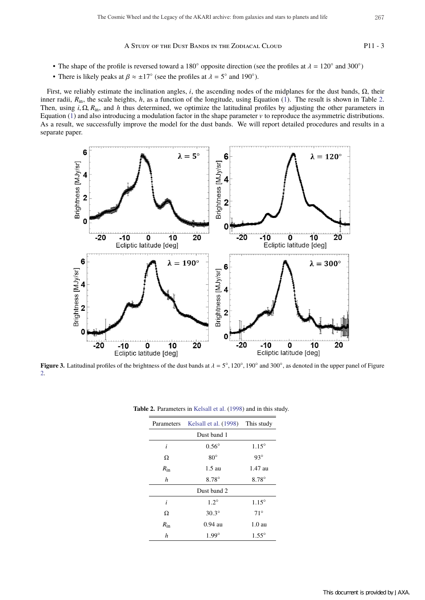A Study of the Dust Bands in the Zodiacal Cloud P11 - 3

- The shape of the profile is reversed toward a 180 $\degree$  opposite direction (see the profiles at  $\lambda = 120\degree$  and 300 $\degree$ )
- There is likely peaks at  $\beta \approx \pm 17^{\circ}$  (see the profiles at  $\lambda = 5^{\circ}$  and 190°).

First, we reliably estimate the inclination angles, *i*, the ascending nodes of the midplanes for the dust bands, Ω, their inner radii,  $R_{\text{in}}$ , the scale heights,  $h$ , as a function of the longitude, using Equation (1). The result is shown in Table 2. Then, using  $i$ ,  $\Omega$ ,  $R_{in}$ , and *h* thus determined, we optimize the latitudinal profiles by adjusting the other parameters in Equation (1) and also introducing a modulation factor in the shape parameter  $\nu$  to reproduce the asymmetric distributions. As a result, we successfully improve the model for the dust bands. We will report detailed procedures and results in a separate paper.



**Figure 3.** Latitudinal profiles of the brightness of the dust bands at  $\lambda = 5^\circ$ , 120 $^\circ$ , 190 $^\circ$  and 300 $^\circ$ , as denoted in the upper panel of Figure 2.

| Parameters       | Kelsall et al. (1998) This study |                  |  |
|------------------|----------------------------------|------------------|--|
| Dust band 1      |                                  |                  |  |
| i                | $0.56^\circ$                     | $1.15^\circ$     |  |
| Ω                | $80^\circ$                       | $93^\circ$       |  |
| $R_{\rm in}$     | $1.5 \text{ au}$                 | 1.47 au          |  |
| $\boldsymbol{h}$ | $8.78^\circ$                     | 8.78°            |  |
| Dust band 2      |                                  |                  |  |
| i                | $1.2^\circ$                      | $1.15^\circ$     |  |
| Ω                | $30.3^\circ$                     | $71^{\circ}$     |  |
| $R_{\rm in}$     | $0.94$ au                        | $1.0 \text{ au}$ |  |
| h                | $1.99^\circ$                     | $1.55^{\circ}$   |  |

**Table 2.** Parameters in Kelsall et al. (1998) and in this study.